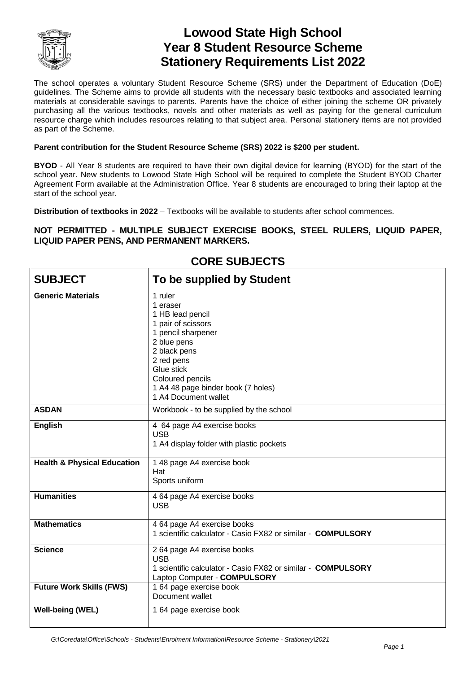

# **Lowood State High School Year 8 Student Resource Scheme Stationery Requirements List 2022**

The school operates a voluntary Student Resource Scheme (SRS) under the Department of Education (DoE) guidelines. The Scheme aims to provide all students with the necessary basic textbooks and associated learning materials at considerable savings to parents. Parents have the choice of either joining the scheme OR privately purchasing all the various textbooks, novels and other materials as well as paying for the general curriculum resource charge which includes resources relating to that subject area. Personal stationery items are not provided as part of the Scheme.

#### **Parent contribution for the Student Resource Scheme (SRS) 2022 is \$200 per student.**

**BYOD** - All Year 8 students are required to have their own digital device for learning (BYOD) for the start of the school year. New students to Lowood State High School will be required to complete the Student BYOD Charter Agreement Form available at the Administration Office. Year 8 students are encouraged to bring their laptop at the start of the school year.

**Distribution of textbooks in 2022** – Textbooks will be available to students after school commences.

### **NOT PERMITTED - MULTIPLE SUBJECT EXERCISE BOOKS, STEEL RULERS, LIQUID PAPER, LIQUID PAPER PENS, AND PERMANENT MARKERS.**

| <b>SUBJECT</b>                         | To be supplied by Student                                                                                                                                                                                                        |
|----------------------------------------|----------------------------------------------------------------------------------------------------------------------------------------------------------------------------------------------------------------------------------|
| <b>Generic Materials</b>               | 1 ruler<br>1 eraser<br>1 HB lead pencil<br>1 pair of scissors<br>1 pencil sharpener<br>2 blue pens<br>2 black pens<br>2 red pens<br>Glue stick<br>Coloured pencils<br>1 A4 48 page binder book (7 holes)<br>1 A4 Document wallet |
| <b>ASDAN</b>                           | Workbook - to be supplied by the school                                                                                                                                                                                          |
| <b>English</b>                         | 4 64 page A4 exercise books<br><b>USB</b><br>1 A4 display folder with plastic pockets                                                                                                                                            |
| <b>Health &amp; Physical Education</b> | 1 48 page A4 exercise book<br>Hat<br>Sports uniform                                                                                                                                                                              |
| <b>Humanities</b>                      | 4 64 page A4 exercise books<br><b>USB</b>                                                                                                                                                                                        |
| <b>Mathematics</b>                     | 4 64 page A4 exercise books<br>1 scientific calculator - Casio FX82 or similar - COMPULSORY                                                                                                                                      |
| <b>Science</b>                         | 2 64 page A4 exercise books<br><b>USB</b><br>1 scientific calculator - Casio FX82 or similar - COMPULSORY<br>Laptop Computer - COMPULSORY                                                                                        |
| <b>Future Work Skills (FWS)</b>        | 1 64 page exercise book<br>Document wallet                                                                                                                                                                                       |
| <b>Well-being (WEL)</b>                | 1 64 page exercise book                                                                                                                                                                                                          |

## **CORE SUBJECTS**

*G:\Coredata\Office\Schools - Students\Enrolment Information\Resource Scheme - Stationery\2021*